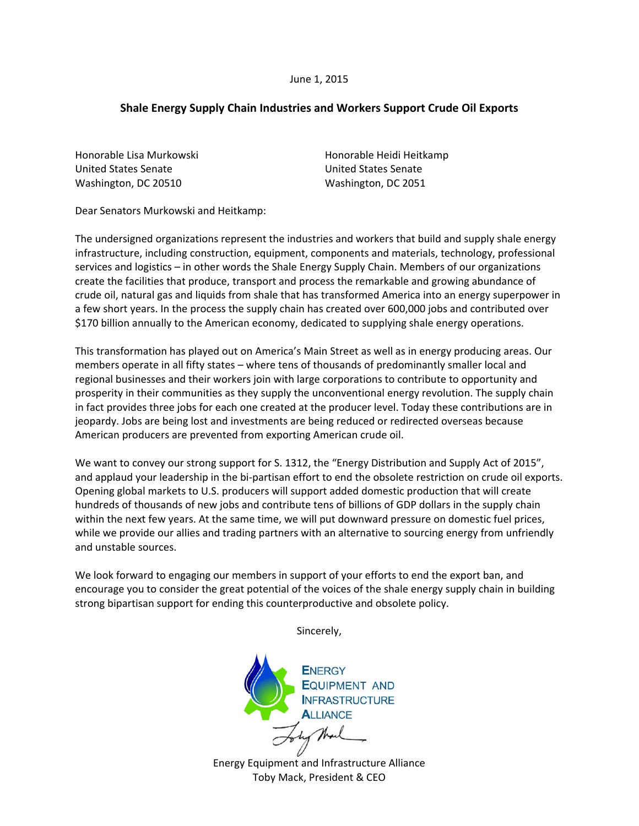## **Shale Energy Supply Chain Industries and Workers Support Crude Oil Exports**

Honorable Lisa Murkowski United States Senate Washington, DC 20510

Honorable Heidi Heitkamp United States Senate Washington, DC 2051

Dear Senators Murkowski and Heitkamp:

The undersigned organizations represent the industries and workers that build and supply shale energy infrastructure, including construction, equipment, components and materials, technology, professional services and logistics – in other words the Shale Energy Supply Chain. Members of our organizations create the facilities that produce, transport and process the remarkable and growing abundance of crude oil, natural gas and liquids from shale that has transformed America into an energy superpower in a few short years. In the process the supply chain has created over 600,000 jobs and contributed over \$170 billion annually to the American economy, dedicated to supplying shale energy operations.

This transformation has played out on America's Main Street as well as in energy producing areas. Our members operate in all fifty states – where tens of thousands of predominantly smaller local and regional businesses and their workers join with large corporations to contribute to opportunity and prosperity in their communities as they supply the unconventional energy revolution. The supply chain in fact provides three jobs for each one created at the producer level. Today these contributions are in jeopardy. Jobs are being lost and investments are being reduced or redirected overseas because American producers are prevented from exporting American crude oil.

We want to convey our strong support for S. 1312, the "Energy Distribution and Supply Act of 2015", and applaud your leadership in the bi-partisan effort to end the obsolete restriction on crude oil exports. Opening global markets to U.S. producers will support added domestic production that will create hundreds of thousands of new jobs and contribute tens of billions of GDP dollars in the supply chain within the next few years. At the same time, we will put downward pressure on domestic fuel prices, while we provide our allies and trading partners with an alternative to sourcing energy from unfriendly and unstable sources.

We look forward to engaging our members in support of your efforts to end the export ban, and encourage you to consider the great potential of the voices of the shale energy supply chain in building strong bipartisan support for ending this counterproductive and obsolete policy.

Sincerely,

**ENERGY EQUIPMENT AND INFRASTRUCTURE ALLIANCE** Energy Equipment and Infrastructure Alliance

Toby Mack, President & CEO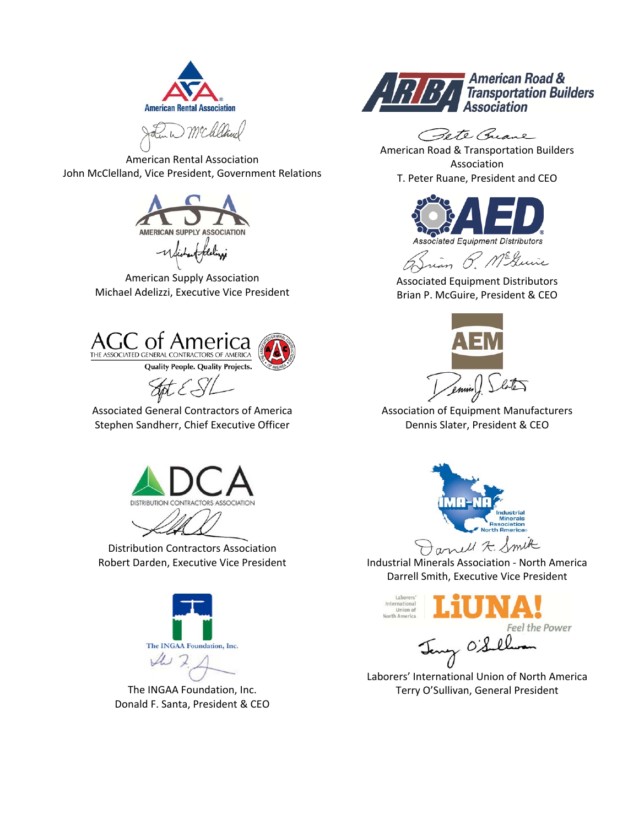



American Rental Association John McClelland, Vice President, Government Relations



American Supply Association Michael Adelizzi, Executive Vice President







Associated General Contractors of America Stephen Sandherr, Chief Executive Officer



Distribution Contractors Association



The INGAA Foundation, Inc. Donald F. Santa, President & CEO



Pete Guane

American Road & Transportation Builders Association T. Peter Ruane, President and CEO



ian P. Mckuie

Associated Equipment Distributors Brian P. McGuire, President & CEO



Association of Equipment Manufacturers Dennis Slater, President & CEO



Robert Darden, Executive Vice President Industrial Minerals Association - North America Darrell Smith, Executive Vice President



r oisel

Laborers' International Union of North America Terry O'Sullivan, General President